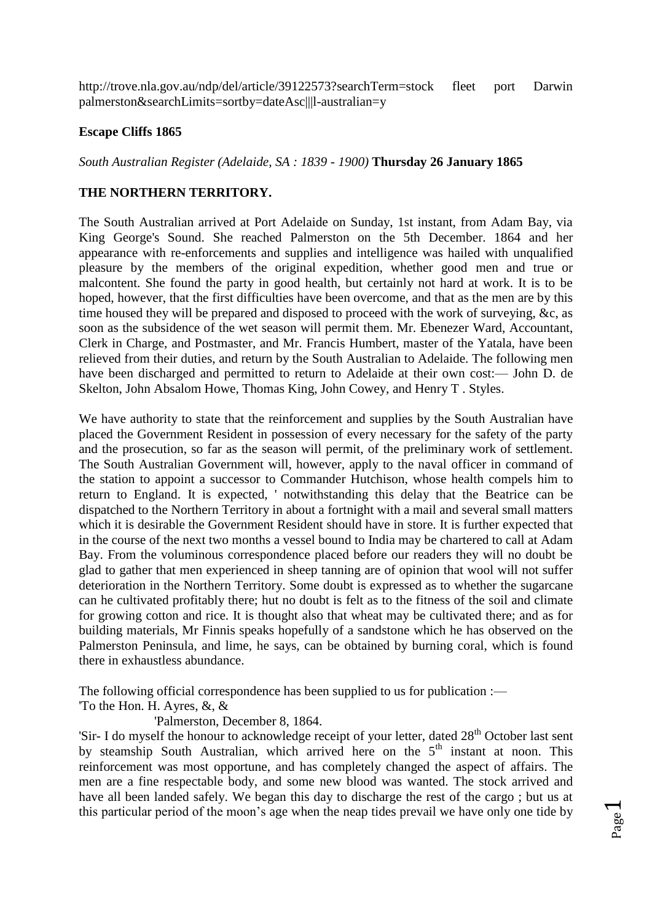http://trove.nla.gov.au/ndp/del/article/39122573?searchTerm=stock fleet port Darwin palmerston&searchLimits=sortby=dateAsc|||l-australian=y

## **Escape Cliffs 1865**

*South Australian Register (Adelaide, SA : 1839 - 1900)* **Thursday 26 January 1865**

## **THE NORTHERN TERRITORY.**

The South Australian arrived at Port Adelaide on Sunday, 1st instant, from Adam Bay, via King George's Sound. She reached Palmerston on the 5th December. 1864 and her appearance with re-enforcements and supplies and intelligence was hailed with unqualified pleasure by the members of the original expedition, whether good men and true or malcontent. She found the party in good health, but certainly not hard at work. It is to be hoped, however, that the first difficulties have been overcome, and that as the men are by this time housed they will be prepared and disposed to proceed with the work of surveying, &c, as soon as the subsidence of the wet season will permit them. Mr. Ebenezer Ward, Accountant, Clerk in Charge, and Postmaster, and Mr. Francis Humbert, master of the Yatala, have been relieved from their duties, and return by the South Australian to Adelaide. The following men have been discharged and permitted to return to Adelaide at their own cost:— John D. de Skelton, John Absalom Howe, Thomas King, John Cowey, and Henry T . Styles.

We have authority to state that the reinforcement and supplies by the South Australian have placed the Government Resident in possession of every necessary for the safety of the party and the prosecution, so far as the season will permit, of the preliminary work of settlement. The South Australian Government will, however, apply to the naval officer in command of the station to appoint a successor to Commander Hutchison, whose health compels him to return to England. It is expected, ' notwithstanding this delay that the Beatrice can be dispatched to the Northern Territory in about a fortnight with a mail and several small matters which it is desirable the Government Resident should have in store. It is further expected that in the course of the next two months a vessel bound to India may be chartered to call at Adam Bay. From the voluminous correspondence placed before our readers they will no doubt be glad to gather that men experienced in sheep tanning are of opinion that wool will not suffer deterioration in the Northern Territory. Some doubt is expressed as to whether the sugarcane can he cultivated profitably there; hut no doubt is felt as to the fitness of the soil and climate for growing cotton and rice. It is thought also that wheat may be cultivated there; and as for building materials, Mr Finnis speaks hopefully of a sandstone which he has observed on the Palmerston Peninsula, and lime, he says, can be obtained by burning coral, which is found there in exhaustless abundance.

The following official correspondence has been supplied to us for publication :—

'To the Hon. H. Ayres, &, &

'Palmerston, December 8, 1864.

'Sir- I do myself the honour to acknowledge receipt of your letter, dated 28<sup>th</sup> October last sent by steamship South Australian, which arrived here on the  $5<sup>th</sup>$  instant at noon. This reinforcement was most opportune, and has completely changed the aspect of affairs. The men are a fine respectable body, and some new blood was wanted. The stock arrived and have all been landed safely. We began this day to discharge the rest of the cargo ; but us at this particular period of the moon's age when the neap tides prevail we have only one tide by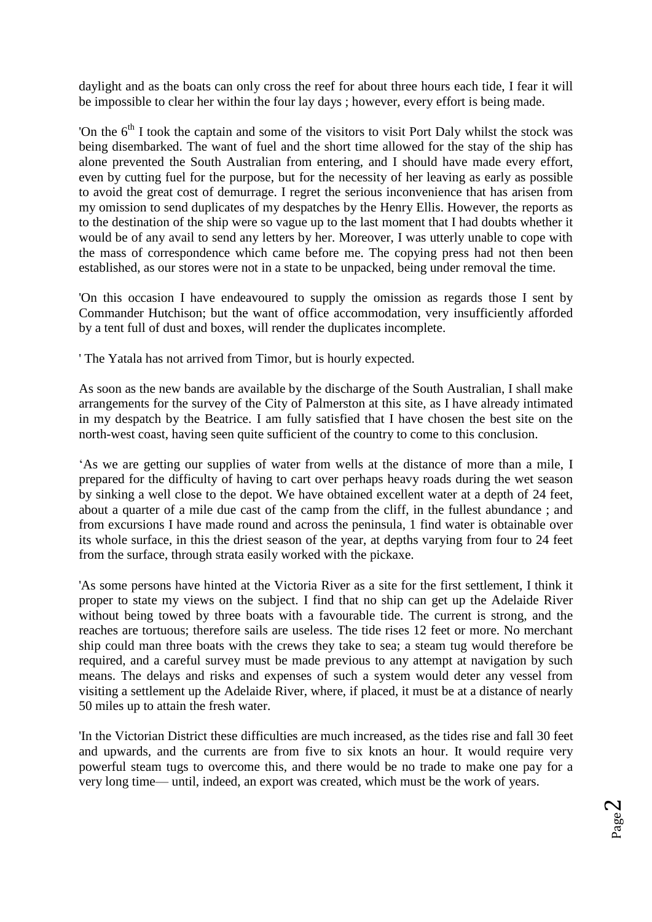daylight and as the boats can only cross the reef for about three hours each tide, I fear it will be impossible to clear her within the four lay days ; however, every effort is being made.

'On the  $6<sup>th</sup>$  I took the captain and some of the visitors to visit Port Daly whilst the stock was being disembarked. The want of fuel and the short time allowed for the stay of the ship has alone prevented the South Australian from entering, and I should have made every effort, even by cutting fuel for the purpose, but for the necessity of her leaving as early as possible to avoid the great cost of demurrage. I regret the serious inconvenience that has arisen from my omission to send duplicates of my despatches by the Henry Ellis. However, the reports as to the destination of the ship were so vague up to the last moment that I had doubts whether it would be of any avail to send any letters by her. Moreover, I was utterly unable to cope with the mass of correspondence which came before me. The copying press had not then been established, as our stores were not in a state to be unpacked, being under removal the time.

'On this occasion I have endeavoured to supply the omission as regards those I sent by Commander Hutchison; but the want of office accommodation, very insufficiently afforded by a tent full of dust and boxes, will render the duplicates incomplete.

' The Yatala has not arrived from Timor, but is hourly expected.

As soon as the new bands are available by the discharge of the South Australian, I shall make arrangements for the survey of the City of Palmerston at this site, as I have already intimated in my despatch by the Beatrice. I am fully satisfied that I have chosen the best site on the north-west coast, having seen quite sufficient of the country to come to this conclusion.

'As we are getting our supplies of water from wells at the distance of more than a mile, I prepared for the difficulty of having to cart over perhaps heavy roads during the wet season by sinking a well close to the depot. We have obtained excellent water at a depth of 24 feet, about a quarter of a mile due cast of the camp from the cliff, in the fullest abundance ; and from excursions I have made round and across the peninsula, 1 find water is obtainable over its whole surface, in this the driest season of the year, at depths varying from four to 24 feet from the surface, through strata easily worked with the pickaxe.

'As some persons have hinted at the Victoria River as a site for the first settlement, I think it proper to state my views on the subject. I find that no ship can get up the Adelaide River without being towed by three boats with a favourable tide. The current is strong, and the reaches are tortuous; therefore sails are useless. The tide rises 12 feet or more. No merchant ship could man three boats with the crews they take to sea; a steam tug would therefore be required, and a careful survey must be made previous to any attempt at navigation by such means. The delays and risks and expenses of such a system would deter any vessel from visiting a settlement up the Adelaide River, where, if placed, it must be at a distance of nearly 50 miles up to attain the fresh water.

'In the Victorian District these difficulties are much increased, as the tides rise and fall 30 feet and upwards, and the currents are from five to six knots an hour. It would require very powerful steam tugs to overcome this, and there would be no trade to make one pay for a very long time— until, indeed, an export was created, which must be the work of years.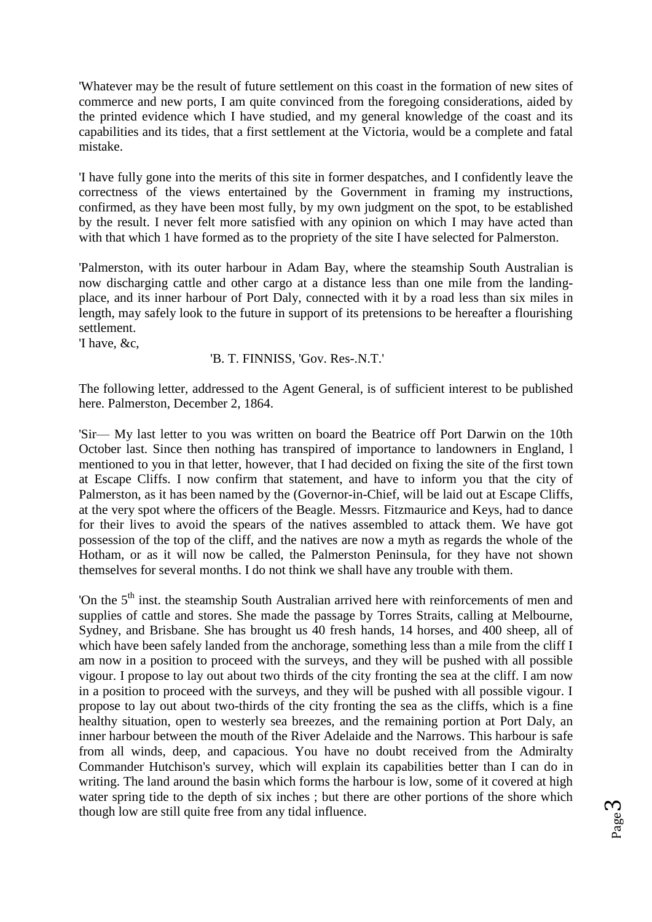'Whatever may be the result of future settlement on this coast in the formation of new sites of commerce and new ports, I am quite convinced from the foregoing considerations, aided by the printed evidence which I have studied, and my general knowledge of the coast and its capabilities and its tides, that a first settlement at the Victoria, would be a complete and fatal mistake.

'I have fully gone into the merits of this site in former despatches, and I confidently leave the correctness of the views entertained by the Government in framing my instructions, confirmed, as they have been most fully, by my own judgment on the spot, to be established by the result. I never felt more satisfied with any opinion on which I may have acted than with that which 1 have formed as to the propriety of the site I have selected for Palmerston.

'Palmerston, with its outer harbour in Adam Bay, where the steamship South Australian is now discharging cattle and other cargo at a distance less than one mile from the landingplace, and its inner harbour of Port Daly, connected with it by a road less than six miles in length, may safely look to the future in support of its pretensions to be hereafter a flourishing settlement.

'I have, &c,

'B. T. FINNISS, 'Gov. Res-.N.T.'

The following letter, addressed to the Agent General, is of sufficient interest to be published here. Palmerston, December 2, 1864.

'Sir— My last letter to you was written on board the Beatrice off Port Darwin on the 10th October last. Since then nothing has transpired of importance to landowners in England, l mentioned to you in that letter, however, that I had decided on fixing the site of the first town at Escape Cliffs. I now confirm that statement, and have to inform you that the city of Palmerston, as it has been named by the (Governor-in-Chief, will be laid out at Escape Cliffs, at the very spot where the officers of the Beagle. Messrs. Fitzmaurice and Keys, had to dance for their lives to avoid the spears of the natives assembled to attack them. We have got possession of the top of the cliff, and the natives are now a myth as regards the whole of the Hotham, or as it will now be called, the Palmerston Peninsula, for they have not shown themselves for several months. I do not think we shall have any trouble with them.

'On the 5<sup>th</sup> inst. the steamship South Australian arrived here with reinforcements of men and supplies of cattle and stores. She made the passage by Torres Straits, calling at Melbourne, Sydney, and Brisbane. She has brought us 40 fresh hands, 14 horses, and 400 sheep, all of which have been safely landed from the anchorage, something less than a mile from the cliff I am now in a position to proceed with the surveys, and they will be pushed with all possible vigour. I propose to lay out about two thirds of the city fronting the sea at the cliff. I am now in a position to proceed with the surveys, and they will be pushed with all possible vigour. I propose to lay out about two-thirds of the city fronting the sea as the cliffs, which is a fine healthy situation, open to westerly sea breezes, and the remaining portion at Port Daly, an inner harbour between the mouth of the River Adelaide and the Narrows. This harbour is safe from all winds, deep, and capacious. You have no doubt received from the Admiralty Commander Hutchison's survey, which will explain its capabilities better than I can do in writing. The land around the basin which forms the harbour is low, some of it covered at high water spring tide to the depth of six inches ; but there are other portions of the shore which though low are still quite free from any tidal influence.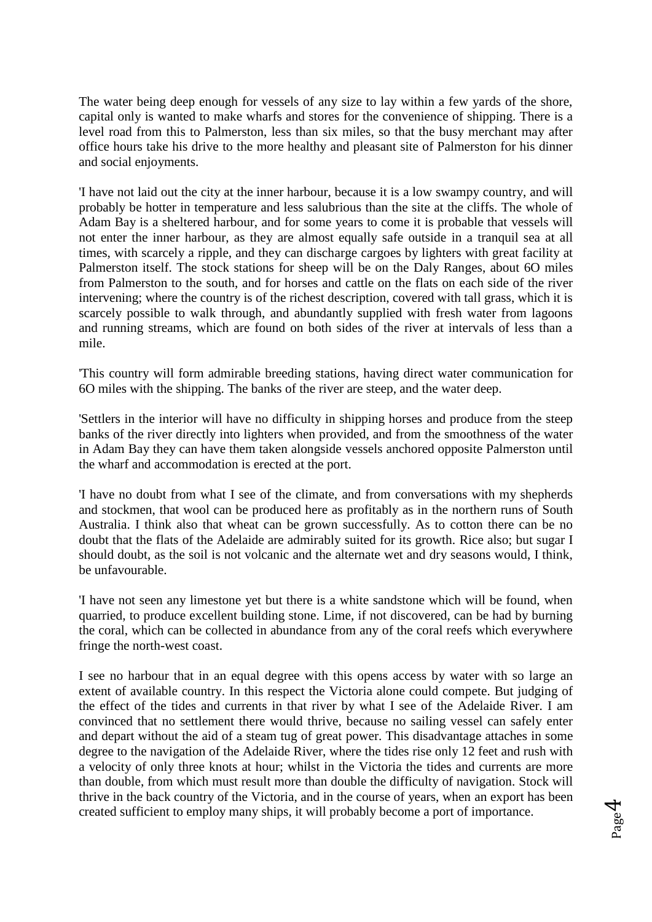The water being deep enough for vessels of any size to lay within a few yards of the shore, capital only is wanted to make wharfs and stores for the convenience of shipping. There is a level road from this to Palmerston, less than six miles, so that the busy merchant may after office hours take his drive to the more healthy and pleasant site of Palmerston for his dinner and social enjoyments.

'I have not laid out the city at the inner harbour, because it is a low swampy country, and will probably be hotter in temperature and less salubrious than the site at the cliffs. The whole of Adam Bay is a sheltered harbour, and for some years to come it is probable that vessels will not enter the inner harbour, as they are almost equally safe outside in a tranquil sea at all times, with scarcely a ripple, and they can discharge cargoes by lighters with great facility at Palmerston itself. The stock stations for sheep will be on the Daly Ranges, about 6O miles from Palmerston to the south, and for horses and cattle on the flats on each side of the river intervening; where the country is of the richest description, covered with tall grass, which it is scarcely possible to walk through, and abundantly supplied with fresh water from lagoons and running streams, which are found on both sides of the river at intervals of less than a mile.

'This country will form admirable breeding stations, having direct water communication for 6O miles with the shipping. The banks of the river are steep, and the water deep.

'Settlers in the interior will have no difficulty in shipping horses and produce from the steep banks of the river directly into lighters when provided, and from the smoothness of the water in Adam Bay they can have them taken alongside vessels anchored opposite Palmerston until the wharf and accommodation is erected at the port.

'I have no doubt from what I see of the climate, and from conversations with my shepherds and stockmen, that wool can be produced here as profitably as in the northern runs of South Australia. I think also that wheat can be grown successfully. As to cotton there can be no doubt that the flats of the Adelaide are admirably suited for its growth. Rice also; but sugar I should doubt, as the soil is not volcanic and the alternate wet and dry seasons would, I think, be unfavourable.

'I have not seen any limestone yet but there is a white sandstone which will be found, when quarried, to produce excellent building stone. Lime, if not discovered, can be had by burning the coral, which can be collected in abundance from any of the coral reefs which everywhere fringe the north-west coast.

I see no harbour that in an equal degree with this opens access by water with so large an extent of available country. In this respect the Victoria alone could compete. But judging of the effect of the tides and currents in that river by what I see of the Adelaide River. I am convinced that no settlement there would thrive, because no sailing vessel can safely enter and depart without the aid of a steam tug of great power. This disadvantage attaches in some degree to the navigation of the Adelaide River, where the tides rise only 12 feet and rush with a velocity of only three knots at hour; whilst in the Victoria the tides and currents are more than double, from which must result more than double the difficulty of navigation. Stock will thrive in the back country of the Victoria, and in the course of years, when an export has been created sufficient to employ many ships, it will probably become a port of importance.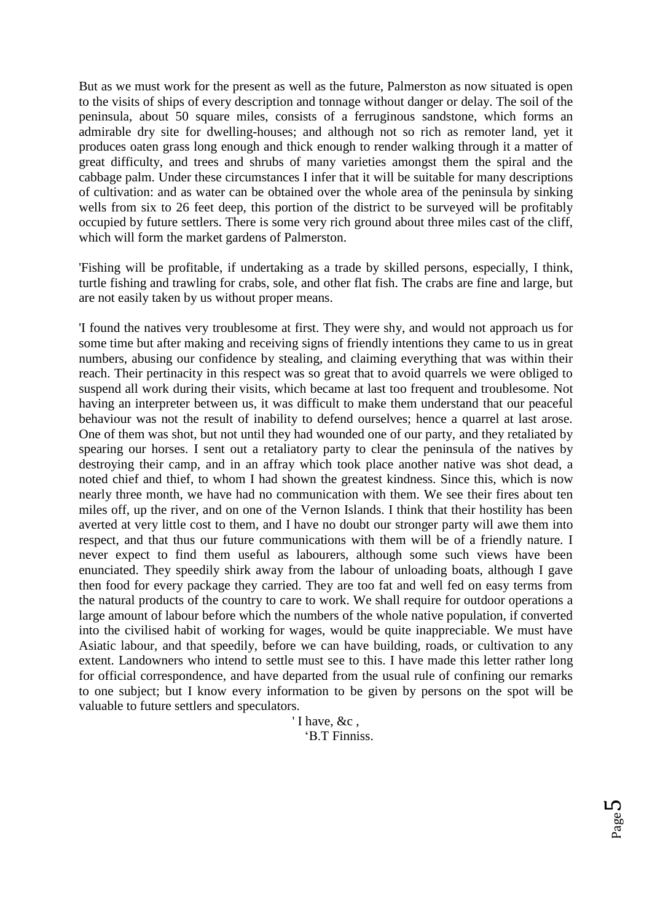But as we must work for the present as well as the future, Palmerston as now situated is open to the visits of ships of every description and tonnage without danger or delay. The soil of the peninsula, about 50 square miles, consists of a ferruginous sandstone, which forms an admirable dry site for dwelling-houses; and although not so rich as remoter land, yet it produces oaten grass long enough and thick enough to render walking through it a matter of great difficulty, and trees and shrubs of many varieties amongst them the spiral and the cabbage palm. Under these circumstances I infer that it will be suitable for many descriptions of cultivation: and as water can be obtained over the whole area of the peninsula by sinking wells from six to 26 feet deep, this portion of the district to be surveyed will be profitably occupied by future settlers. There is some very rich ground about three miles cast of the cliff, which will form the market gardens of Palmerston.

'Fishing will be profitable, if undertaking as a trade by skilled persons, especially, I think, turtle fishing and trawling for crabs, sole, and other flat fish. The crabs are fine and large, but are not easily taken by us without proper means.

'I found the natives very troublesome at first. They were shy, and would not approach us for some time but after making and receiving signs of friendly intentions they came to us in great numbers, abusing our confidence by stealing, and claiming everything that was within their reach. Their pertinacity in this respect was so great that to avoid quarrels we were obliged to suspend all work during their visits, which became at last too frequent and troublesome. Not having an interpreter between us, it was difficult to make them understand that our peaceful behaviour was not the result of inability to defend ourselves; hence a quarrel at last arose. One of them was shot, but not until they had wounded one of our party, and they retaliated by spearing our horses. I sent out a retaliatory party to clear the peninsula of the natives by destroying their camp, and in an affray which took place another native was shot dead, a noted chief and thief, to whom I had shown the greatest kindness. Since this, which is now nearly three month, we have had no communication with them. We see their fires about ten miles off, up the river, and on one of the Vernon Islands. I think that their hostility has been averted at very little cost to them, and I have no doubt our stronger party will awe them into respect, and that thus our future communications with them will be of a friendly nature. I never expect to find them useful as labourers, although some such views have been enunciated. They speedily shirk away from the labour of unloading boats, although I gave then food for every package they carried. They are too fat and well fed on easy terms from the natural products of the country to care to work. We shall require for outdoor operations a large amount of labour before which the numbers of the whole native population, if converted into the civilised habit of working for wages, would be quite inappreciable. We must have Asiatic labour, and that speedily, before we can have building, roads, or cultivation to any extent. Landowners who intend to settle must see to this. I have made this letter rather long for official correspondence, and have departed from the usual rule of confining our remarks to one subject; but I know every information to be given by persons on the spot will be valuable to future settlers and speculators.

> ' I have, &c , 'B.T Finniss.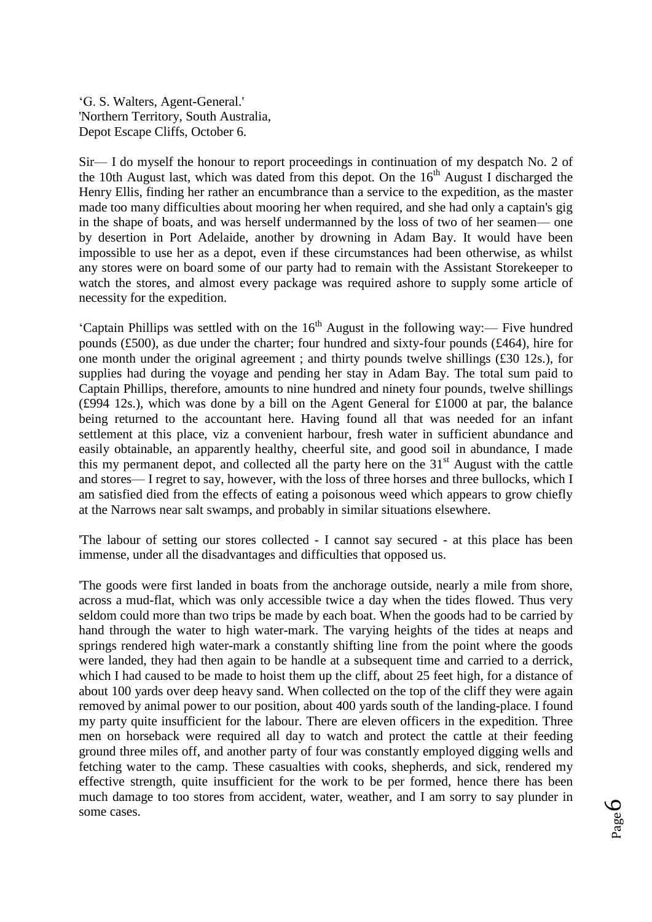'G. S. Walters, Agent-General.' 'Northern Territory, South Australia, Depot Escape Cliffs, October 6.

Sir— I do myself the honour to report proceedings in continuation of my despatch No. 2 of the 10th August last, which was dated from this depot. On the  $16<sup>th</sup>$  August I discharged the Henry Ellis, finding her rather an encumbrance than a service to the expedition, as the master made too many difficulties about mooring her when required, and she had only a captain's gig in the shape of boats, and was herself undermanned by the loss of two of her seamen— one by desertion in Port Adelaide, another by drowning in Adam Bay. It would have been impossible to use her as a depot, even if these circumstances had been otherwise, as whilst any stores were on board some of our party had to remain with the Assistant Storekeeper to watch the stores, and almost every package was required ashore to supply some article of necessity for the expedition.

'Captain Phillips was settled with on the  $16<sup>th</sup>$  August in the following way:— Five hundred pounds (£500), as due under the charter; four hundred and sixty-four pounds (£464), hire for one month under the original agreement ; and thirty pounds twelve shillings (£30 12s.), for supplies had during the voyage and pending her stay in Adam Bay. The total sum paid to Captain Phillips, therefore, amounts to nine hundred and ninety four pounds, twelve shillings (£994 12s.), which was done by a bill on the Agent General for £1000 at par, the balance being returned to the accountant here. Having found all that was needed for an infant settlement at this place, viz a convenient harbour, fresh water in sufficient abundance and easily obtainable, an apparently healthy, cheerful site, and good soil in abundance, I made this my permanent depot, and collected all the party here on the  $31<sup>st</sup>$  August with the cattle and stores— I regret to say, however, with the loss of three horses and three bullocks, which I am satisfied died from the effects of eating a poisonous weed which appears to grow chiefly at the Narrows near salt swamps, and probably in similar situations elsewhere.

'The labour of setting our stores collected - I cannot say secured - at this place has been immense, under all the disadvantages and difficulties that opposed us.

'The goods were first landed in boats from the anchorage outside, nearly a mile from shore, across a mud-flat, which was only accessible twice a day when the tides flowed. Thus very seldom could more than two trips be made by each boat. When the goods had to be carried by hand through the water to high water-mark. The varying heights of the tides at neaps and springs rendered high water-mark a constantly shifting line from the point where the goods were landed, they had then again to be handle at a subsequent time and carried to a derrick, which I had caused to be made to hoist them up the cliff, about 25 feet high, for a distance of about 100 yards over deep heavy sand. When collected on the top of the cliff they were again removed by animal power to our position, about 400 yards south of the landing-place. I found my party quite insufficient for the labour. There are eleven officers in the expedition. Three men on horseback were required all day to watch and protect the cattle at their feeding ground three miles off, and another party of four was constantly employed digging wells and fetching water to the camp. These casualties with cooks, shepherds, and sick, rendered my effective strength, quite insufficient for the work to be per formed, hence there has been much damage to too stores from accident, water, weather, and I am sorry to say plunder in some cases.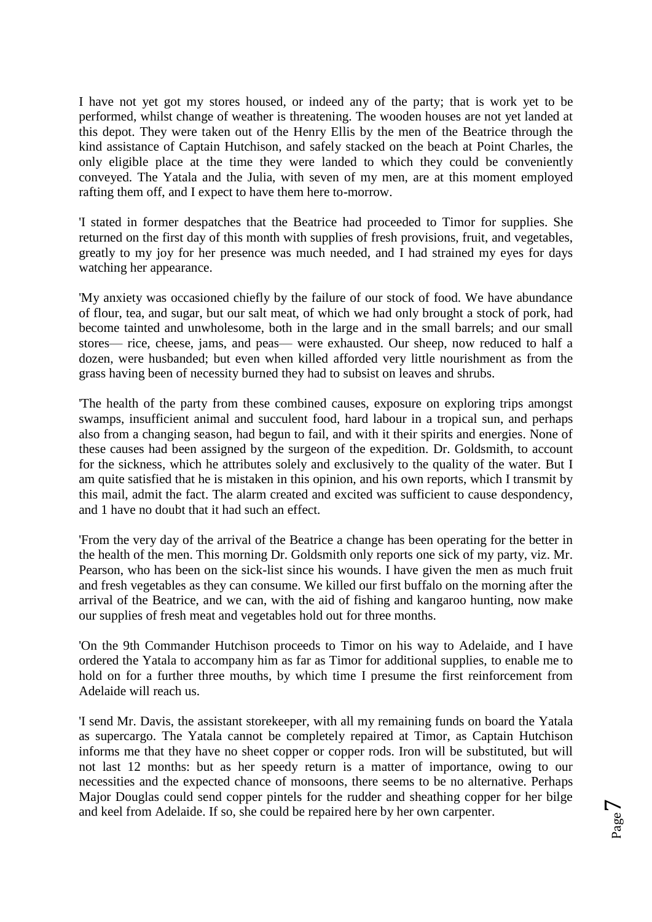I have not yet got my stores housed, or indeed any of the party; that is work yet to be performed, whilst change of weather is threatening. The wooden houses are not yet landed at this depot. They were taken out of the Henry Ellis by the men of the Beatrice through the kind assistance of Captain Hutchison, and safely stacked on the beach at Point Charles, the only eligible place at the time they were landed to which they could be conveniently conveyed. The Yatala and the Julia, with seven of my men, are at this moment employed rafting them off, and I expect to have them here to-morrow.

'I stated in former despatches that the Beatrice had proceeded to Timor for supplies. She returned on the first day of this month with supplies of fresh provisions, fruit, and vegetables, greatly to my joy for her presence was much needed, and I had strained my eyes for days watching her appearance.

'My anxiety was occasioned chiefly by the failure of our stock of food. We have abundance of flour, tea, and sugar, but our salt meat, of which we had only brought a stock of pork, had become tainted and unwholesome, both in the large and in the small barrels; and our small stores— rice, cheese, jams, and peas— were exhausted. Our sheep, now reduced to half a dozen, were husbanded; but even when killed afforded very little nourishment as from the grass having been of necessity burned they had to subsist on leaves and shrubs.

'The health of the party from these combined causes, exposure on exploring trips amongst swamps, insufficient animal and succulent food, hard labour in a tropical sun, and perhaps also from a changing season, had begun to fail, and with it their spirits and energies. None of these causes had been assigned by the surgeon of the expedition. Dr. Goldsmith, to account for the sickness, which he attributes solely and exclusively to the quality of the water. But I am quite satisfied that he is mistaken in this opinion, and his own reports, which I transmit by this mail, admit the fact. The alarm created and excited was sufficient to cause despondency, and 1 have no doubt that it had such an effect.

'From the very day of the arrival of the Beatrice a change has been operating for the better in the health of the men. This morning Dr. Goldsmith only reports one sick of my party, viz. Mr. Pearson, who has been on the sick-list since his wounds. I have given the men as much fruit and fresh vegetables as they can consume. We killed our first buffalo on the morning after the arrival of the Beatrice, and we can, with the aid of fishing and kangaroo hunting, now make our supplies of fresh meat and vegetables hold out for three months.

'On the 9th Commander Hutchison proceeds to Timor on his way to Adelaide, and I have ordered the Yatala to accompany him as far as Timor for additional supplies, to enable me to hold on for a further three mouths, by which time I presume the first reinforcement from Adelaide will reach us.

'I send Mr. Davis, the assistant storekeeper, with all my remaining funds on board the Yatala as supercargo. The Yatala cannot be completely repaired at Timor, as Captain Hutchison informs me that they have no sheet copper or copper rods. Iron will be substituted, but will not last 12 months: but as her speedy return is a matter of importance, owing to our necessities and the expected chance of monsoons, there seems to be no alternative. Perhaps Major Douglas could send copper pintels for the rudder and sheathing copper for her bilge and keel from Adelaide. If so, she could be repaired here by her own carpenter.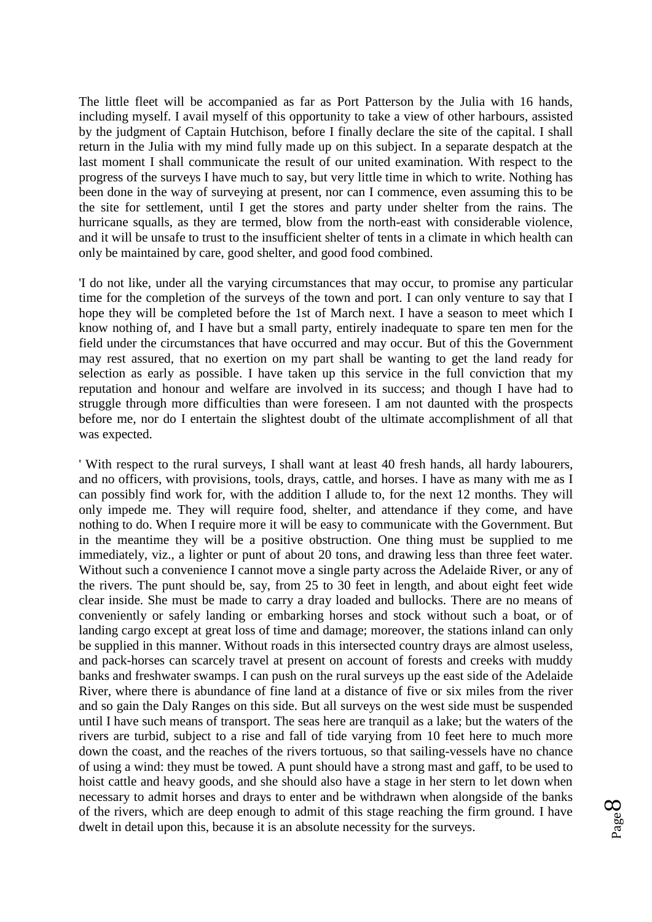The little fleet will be accompanied as far as Port Patterson by the Julia with 16 hands, including myself. I avail myself of this opportunity to take a view of other harbours, assisted by the judgment of Captain Hutchison, before I finally declare the site of the capital. I shall return in the Julia with my mind fully made up on this subject. In a separate despatch at the last moment I shall communicate the result of our united examination. With respect to the progress of the surveys I have much to say, but very little time in which to write. Nothing has been done in the way of surveying at present, nor can I commence, even assuming this to be the site for settlement, until I get the stores and party under shelter from the rains. The hurricane squalls, as they are termed, blow from the north-east with considerable violence, and it will be unsafe to trust to the insufficient shelter of tents in a climate in which health can only be maintained by care, good shelter, and good food combined.

'I do not like, under all the varying circumstances that may occur, to promise any particular time for the completion of the surveys of the town and port. I can only venture to say that I hope they will be completed before the 1st of March next. I have a season to meet which I know nothing of, and I have but a small party, entirely inadequate to spare ten men for the field under the circumstances that have occurred and may occur. But of this the Government may rest assured, that no exertion on my part shall be wanting to get the land ready for selection as early as possible. I have taken up this service in the full conviction that my reputation and honour and welfare are involved in its success; and though I have had to struggle through more difficulties than were foreseen. I am not daunted with the prospects before me, nor do I entertain the slightest doubt of the ultimate accomplishment of all that was expected.

' With respect to the rural surveys, I shall want at least 40 fresh hands, all hardy labourers, and no officers, with provisions, tools, drays, cattle, and horses. I have as many with me as I can possibly find work for, with the addition I allude to, for the next 12 months. They will only impede me. They will require food, shelter, and attendance if they come, and have nothing to do. When I require more it will be easy to communicate with the Government. But in the meantime they will be a positive obstruction. One thing must be supplied to me immediately, viz., a lighter or punt of about 20 tons, and drawing less than three feet water. Without such a convenience I cannot move a single party across the Adelaide River, or any of the rivers. The punt should be, say, from 25 to 30 feet in length, and about eight feet wide clear inside. She must be made to carry a dray loaded and bullocks. There are no means of conveniently or safely landing or embarking horses and stock without such a boat, or of landing cargo except at great loss of time and damage; moreover, the stations inland can only be supplied in this manner. Without roads in this intersected country drays are almost useless, and pack-horses can scarcely travel at present on account of forests and creeks with muddy banks and freshwater swamps. I can push on the rural surveys up the east side of the Adelaide River, where there is abundance of fine land at a distance of five or six miles from the river and so gain the Daly Ranges on this side. But all surveys on the west side must be suspended until I have such means of transport. The seas here are tranquil as a lake; but the waters of the rivers are turbid, subject to a rise and fall of tide varying from 10 feet here to much more down the coast, and the reaches of the rivers tortuous, so that sailing-vessels have no chance of using a wind: they must be towed. A punt should have a strong mast and gaff, to be used to hoist cattle and heavy goods, and she should also have a stage in her stern to let down when necessary to admit horses and drays to enter and be withdrawn when alongside of the banks of the rivers, which are deep enough to admit of this stage reaching the firm ground. I have dwelt in detail upon this, because it is an absolute necessity for the surveys.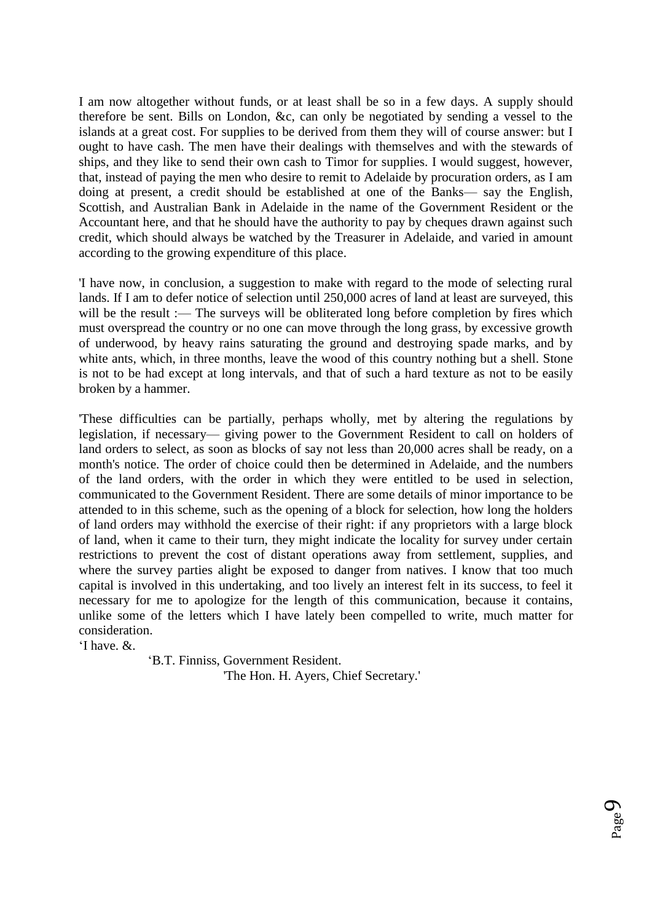I am now altogether without funds, or at least shall be so in a few days. A supply should therefore be sent. Bills on London, &c, can only be negotiated by sending a vessel to the islands at a great cost. For supplies to be derived from them they will of course answer: but I ought to have cash. The men have their dealings with themselves and with the stewards of ships, and they like to send their own cash to Timor for supplies. I would suggest, however, that, instead of paying the men who desire to remit to Adelaide by procuration orders, as I am doing at present, a credit should be established at one of the Banks— say the English, Scottish, and Australian Bank in Adelaide in the name of the Government Resident or the Accountant here, and that he should have the authority to pay by cheques drawn against such credit, which should always be watched by the Treasurer in Adelaide, and varied in amount according to the growing expenditure of this place.

'I have now, in conclusion, a suggestion to make with regard to the mode of selecting rural lands. If I am to defer notice of selection until 250,000 acres of land at least are surveyed, this will be the result :— The surveys will be obliterated long before completion by fires which must overspread the country or no one can move through the long grass, by excessive growth of underwood, by heavy rains saturating the ground and destroying spade marks, and by white ants, which, in three months, leave the wood of this country nothing but a shell. Stone is not to be had except at long intervals, and that of such a hard texture as not to be easily broken by a hammer.

'These difficulties can be partially, perhaps wholly, met by altering the regulations by legislation, if necessary— giving power to the Government Resident to call on holders of land orders to select, as soon as blocks of say not less than 20,000 acres shall be ready, on a month's notice. The order of choice could then be determined in Adelaide, and the numbers of the land orders, with the order in which they were entitled to be used in selection, communicated to the Government Resident. There are some details of minor importance to be attended to in this scheme, such as the opening of a block for selection, how long the holders of land orders may withhold the exercise of their right: if any proprietors with a large block of land, when it came to their turn, they might indicate the locality for survey under certain restrictions to prevent the cost of distant operations away from settlement, supplies, and where the survey parties alight be exposed to danger from natives. I know that too much capital is involved in this undertaking, and too lively an interest felt in its success, to feel it necessary for me to apologize for the length of this communication, because it contains, unlike some of the letters which I have lately been compelled to write, much matter for consideration.

'I have. &.

 'B.T. Finniss, Government Resident. 'The Hon. H. Ayers, Chief Secretary.'

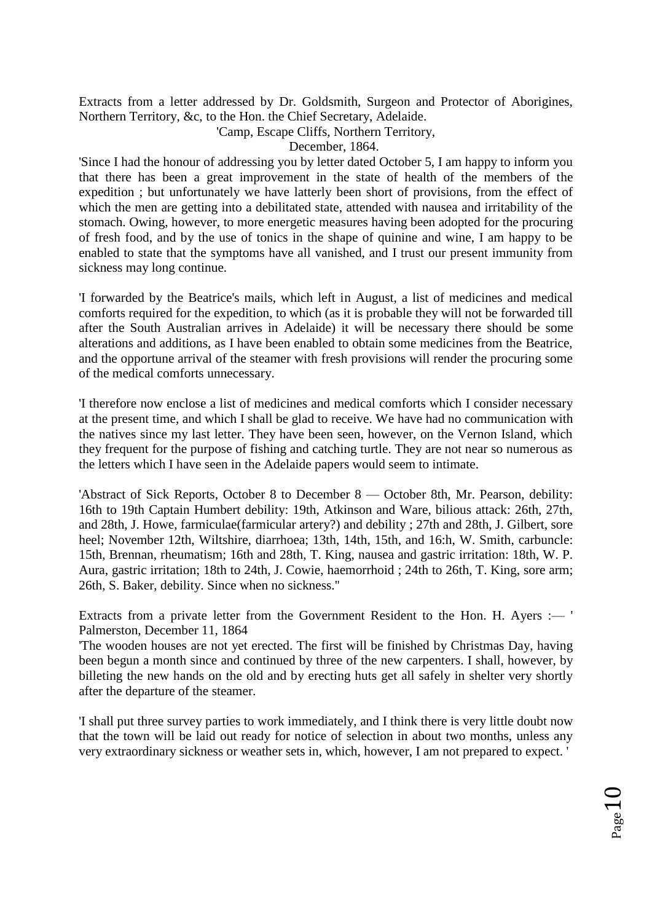Extracts from a letter addressed by Dr. Goldsmith, Surgeon and Protector of Aborigines, Northern Territory, &c, to the Hon. the Chief Secretary, Adelaide.

'Camp, Escape Cliffs, Northern Territory,

December, 1864.

'Since I had the honour of addressing you by letter dated October 5, I am happy to inform you that there has been a great improvement in the state of health of the members of the expedition ; but unfortunately we have latterly been short of provisions, from the effect of which the men are getting into a debilitated state, attended with nausea and irritability of the stomach. Owing, however, to more energetic measures having been adopted for the procuring of fresh food, and by the use of tonics in the shape of quinine and wine, I am happy to be enabled to state that the symptoms have all vanished, and I trust our present immunity from sickness may long continue.

'I forwarded by the Beatrice's mails, which left in August, a list of medicines and medical comforts required for the expedition, to which (as it is probable they will not be forwarded till after the South Australian arrives in Adelaide) it will be necessary there should be some alterations and additions, as I have been enabled to obtain some medicines from the Beatrice, and the opportune arrival of the steamer with fresh provisions will render the procuring some of the medical comforts unnecessary.

'I therefore now enclose a list of medicines and medical comforts which I consider necessary at the present time, and which I shall be glad to receive. We have had no communication with the natives since my last letter. They have been seen, however, on the Vernon Island, which they frequent for the purpose of fishing and catching turtle. They are not near so numerous as the letters which I have seen in the Adelaide papers would seem to intimate.

'Abstract of Sick Reports, October 8 to December 8 — October 8th, Mr. Pearson, debility: 16th to 19th Captain Humbert debility: 19th, Atkinson and Ware, bilious attack: 26th, 27th, and 28th, J. Howe, farmiculae(farmicular artery?) and debility ; 27th and 28th, J. Gilbert, sore heel; November 12th, Wiltshire, diarrhoea; 13th, 14th, 15th, and 16:h, W. Smith, carbuncle: 15th, Brennan, rheumatism; 16th and 28th, T. King, nausea and gastric irritation: 18th, W. P. Aura, gastric irritation; 18th to 24th, J. Cowie, haemorrhoid ; 24th to 26th, T. King, sore arm; 26th, S. Baker, debility. Since when no sickness.''

Extracts from a private letter from the Government Resident to the Hon. H. Ayers :— ' Palmerston, December 11, 1864

'The wooden houses are not yet erected. The first will be finished by Christmas Day, having been begun a month since and continued by three of the new carpenters. I shall, however, by billeting the new hands on the old and by erecting huts get all safely in shelter very shortly after the departure of the steamer.

'I shall put three survey parties to work immediately, and I think there is very little doubt now that the town will be laid out ready for notice of selection in about two months, unless any very extraordinary sickness or weather sets in, which, however, I am not prepared to expect. '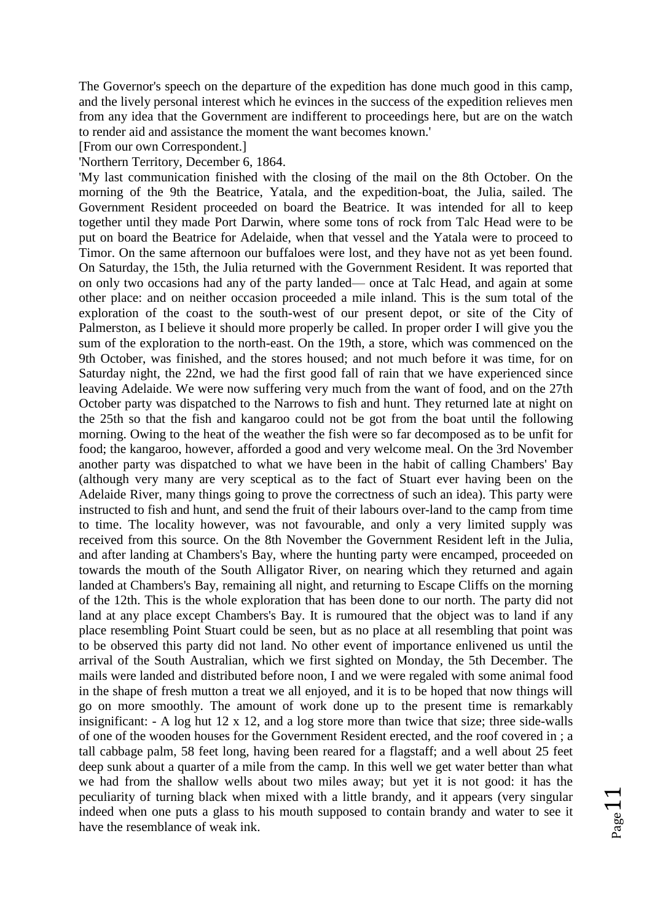The Governor's speech on the departure of the expedition has done much good in this camp, and the lively personal interest which he evinces in the success of the expedition relieves men from any idea that the Government are indifferent to proceedings here, but are on the watch to render aid and assistance the moment the want becomes known.'

## [From our own Correspondent.]

## 'Northern Territory, December 6, 1864.

'My last communication finished with the closing of the mail on the 8th October. On the morning of the 9th the Beatrice, Yatala, and the expedition-boat, the Julia, sailed. The Government Resident proceeded on board the Beatrice. It was intended for all to keep together until they made Port Darwin, where some tons of rock from Talc Head were to be put on board the Beatrice for Adelaide, when that vessel and the Yatala were to proceed to Timor. On the same afternoon our buffaloes were lost, and they have not as yet been found. On Saturday, the 15th, the Julia returned with the Government Resident. It was reported that on only two occasions had any of the party landed— once at Talc Head, and again at some other place: and on neither occasion proceeded a mile inland. This is the sum total of the exploration of the coast to the south-west of our present depot, or site of the City of Palmerston, as I believe it should more properly be called. In proper order I will give you the sum of the exploration to the north-east. On the 19th, a store, which was commenced on the 9th October, was finished, and the stores housed; and not much before it was time, for on Saturday night, the 22nd, we had the first good fall of rain that we have experienced since leaving Adelaide. We were now suffering very much from the want of food, and on the 27th October party was dispatched to the Narrows to fish and hunt. They returned late at night on the 25th so that the fish and kangaroo could not be got from the boat until the following morning. Owing to the heat of the weather the fish were so far decomposed as to be unfit for food; the kangaroo, however, afforded a good and very welcome meal. On the 3rd November another party was dispatched to what we have been in the habit of calling Chambers' Bay (although very many are very sceptical as to the fact of Stuart ever having been on the Adelaide River, many things going to prove the correctness of such an idea). This party were instructed to fish and hunt, and send the fruit of their labours over-land to the camp from time to time. The locality however, was not favourable, and only a very limited supply was received from this source. On the 8th November the Government Resident left in the Julia, and after landing at Chambers's Bay, where the hunting party were encamped, proceeded on towards the mouth of the South Alligator River, on nearing which they returned and again landed at Chambers's Bay, remaining all night, and returning to Escape Cliffs on the morning of the 12th. This is the whole exploration that has been done to our north. The party did not land at any place except Chambers's Bay. It is rumoured that the object was to land if any place resembling Point Stuart could be seen, but as no place at all resembling that point was to be observed this party did not land. No other event of importance enlivened us until the arrival of the South Australian, which we first sighted on Monday, the 5th December. The mails were landed and distributed before noon, I and we were regaled with some animal food in the shape of fresh mutton a treat we all enjoyed, and it is to be hoped that now things will go on more smoothly. The amount of work done up to the present time is remarkably insignificant: - A log hut 12 x 12, and a log store more than twice that size; three side-walls of one of the wooden houses for the Government Resident erected, and the roof covered in ; a tall cabbage palm, 58 feet long, having been reared for a flagstaff; and a well about 25 feet deep sunk about a quarter of a mile from the camp. In this well we get water better than what we had from the shallow wells about two miles away; but yet it is not good: it has the peculiarity of turning black when mixed with a little brandy, and it appears (very singular indeed when one puts a glass to his mouth supposed to contain brandy and water to see it have the resemblance of weak ink.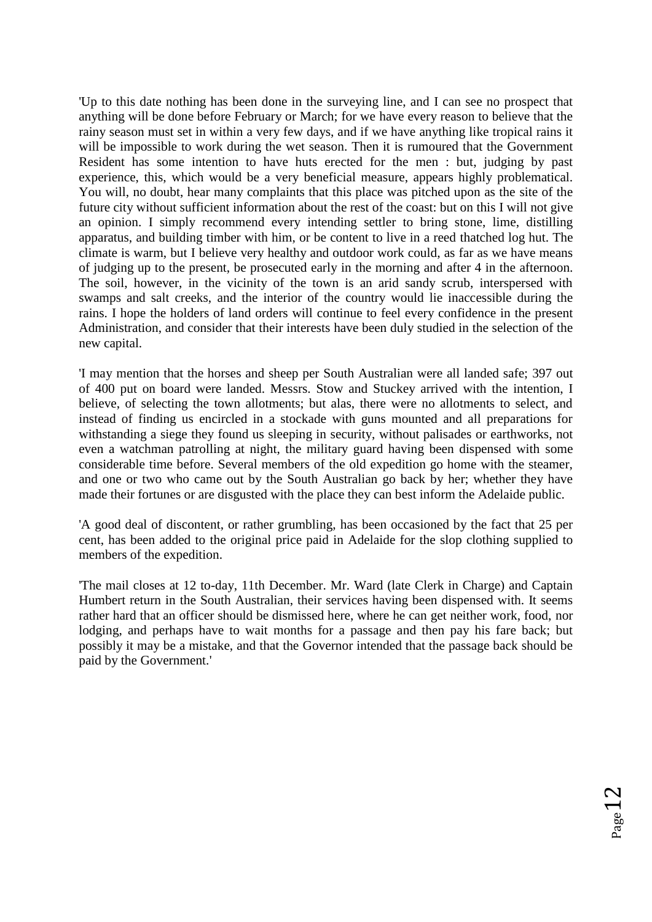'Up to this date nothing has been done in the surveying line, and I can see no prospect that anything will be done before February or March; for we have every reason to believe that the rainy season must set in within a very few days, and if we have anything like tropical rains it will be impossible to work during the wet season. Then it is rumoured that the Government Resident has some intention to have huts erected for the men : but, judging by past experience, this, which would be a very beneficial measure, appears highly problematical. You will, no doubt, hear many complaints that this place was pitched upon as the site of the future city without sufficient information about the rest of the coast: but on this I will not give an opinion. I simply recommend every intending settler to bring stone, lime, distilling apparatus, and building timber with him, or be content to live in a reed thatched log hut. The climate is warm, but I believe very healthy and outdoor work could, as far as we have means of judging up to the present, be prosecuted early in the morning and after 4 in the afternoon. The soil, however, in the vicinity of the town is an arid sandy scrub, interspersed with swamps and salt creeks, and the interior of the country would lie inaccessible during the rains. I hope the holders of land orders will continue to feel every confidence in the present Administration, and consider that their interests have been duly studied in the selection of the new capital.

'I may mention that the horses and sheep per South Australian were all landed safe; 397 out of 400 put on board were landed. Messrs. Stow and Stuckey arrived with the intention, I believe, of selecting the town allotments; but alas, there were no allotments to select, and instead of finding us encircled in a stockade with guns mounted and all preparations for withstanding a siege they found us sleeping in security, without palisades or earthworks, not even a watchman patrolling at night, the military guard having been dispensed with some considerable time before. Several members of the old expedition go home with the steamer, and one or two who came out by the South Australian go back by her; whether they have made their fortunes or are disgusted with the place they can best inform the Adelaide public.

'A good deal of discontent, or rather grumbling, has been occasioned by the fact that 25 per cent, has been added to the original price paid in Adelaide for the slop clothing supplied to members of the expedition.

'The mail closes at 12 to-day, 11th December. Mr. Ward (late Clerk in Charge) and Captain Humbert return in the South Australian, their services having been dispensed with. It seems rather hard that an officer should be dismissed here, where he can get neither work, food, nor lodging, and perhaps have to wait months for a passage and then pay his fare back; but possibly it may be a mistake, and that the Governor intended that the passage back should be paid by the Government.'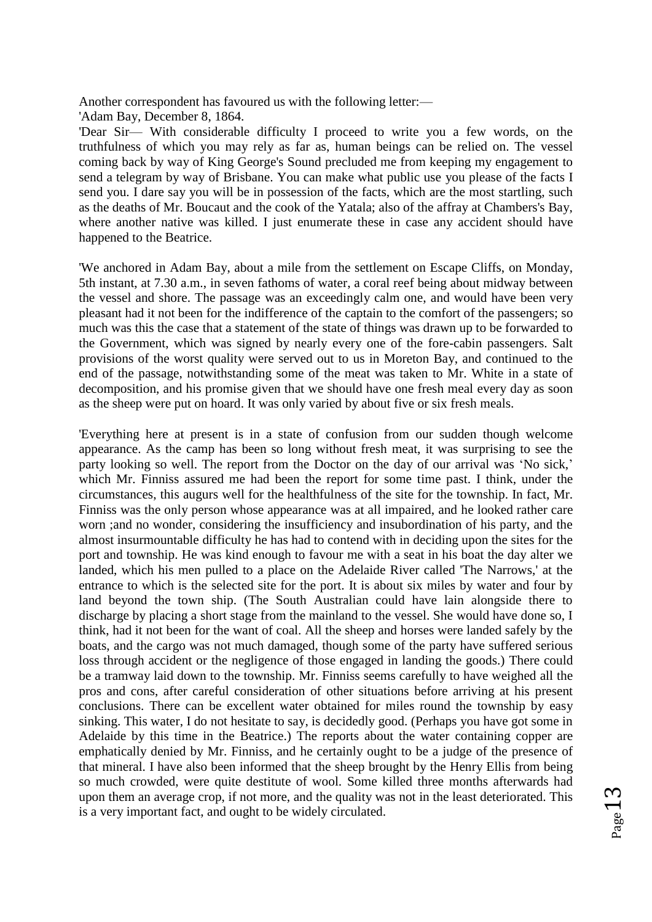Another correspondent has favoured us with the following letter:—

'Adam Bay, December 8, 1864.

'Dear Sir— With considerable difficulty I proceed to write you a few words, on the truthfulness of which you may rely as far as, human beings can be relied on. The vessel coming back by way of King George's Sound precluded me from keeping my engagement to send a telegram by way of Brisbane. You can make what public use you please of the facts I send you. I dare say you will be in possession of the facts, which are the most startling, such as the deaths of Mr. Boucaut and the cook of the Yatala; also of the affray at Chambers's Bay, where another native was killed. I just enumerate these in case any accident should have happened to the Beatrice.

'We anchored in Adam Bay, about a mile from the settlement on Escape Cliffs, on Monday, 5th instant, at 7.30 a.m., in seven fathoms of water, a coral reef being about midway between the vessel and shore. The passage was an exceedingly calm one, and would have been very pleasant had it not been for the indifference of the captain to the comfort of the passengers; so much was this the case that a statement of the state of things was drawn up to be forwarded to the Government, which was signed by nearly every one of the fore-cabin passengers. Salt provisions of the worst quality were served out to us in Moreton Bay, and continued to the end of the passage, notwithstanding some of the meat was taken to Mr. White in a state of decomposition, and his promise given that we should have one fresh meal every day as soon as the sheep were put on hoard. It was only varied by about five or six fresh meals.

'Everything here at present is in a state of confusion from our sudden though welcome appearance. As the camp has been so long without fresh meat, it was surprising to see the party looking so well. The report from the Doctor on the day of our arrival was 'No sick,' which Mr. Finniss assured me had been the report for some time past. I think, under the circumstances, this augurs well for the healthfulness of the site for the township. In fact, Mr. Finniss was the only person whose appearance was at all impaired, and he looked rather care worn ;and no wonder, considering the insufficiency and insubordination of his party, and the almost insurmountable difficulty he has had to contend with in deciding upon the sites for the port and township. He was kind enough to favour me with a seat in his boat the day alter we landed, which his men pulled to a place on the Adelaide River called 'The Narrows,' at the entrance to which is the selected site for the port. It is about six miles by water and four by land beyond the town ship. (The South Australian could have lain alongside there to discharge by placing a short stage from the mainland to the vessel. She would have done so, I think, had it not been for the want of coal. All the sheep and horses were landed safely by the boats, and the cargo was not much damaged, though some of the party have suffered serious loss through accident or the negligence of those engaged in landing the goods.) There could be a tramway laid down to the township. Mr. Finniss seems carefully to have weighed all the pros and cons, after careful consideration of other situations before arriving at his present conclusions. There can be excellent water obtained for miles round the township by easy sinking. This water, I do not hesitate to say, is decidedly good. (Perhaps you have got some in Adelaide by this time in the Beatrice.) The reports about the water containing copper are emphatically denied by Mr. Finniss, and he certainly ought to be a judge of the presence of that mineral. I have also been informed that the sheep brought by the Henry Ellis from being so much crowded, were quite destitute of wool. Some killed three months afterwards had upon them an average crop, if not more, and the quality was not in the least deteriorated. This is a very important fact, and ought to be widely circulated.